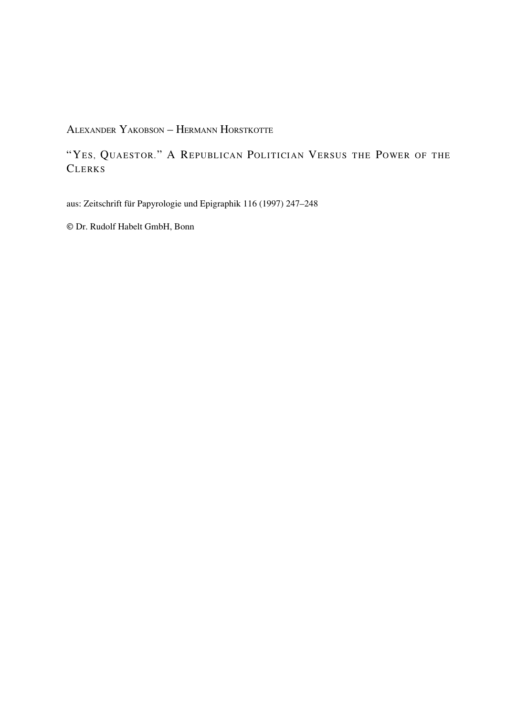ALEXANDER YAKOBSON – HERMANN HORSTKOTTE

"YES, QUAESTOR." A REPUBLICAN POLITICIAN VERSUS THE POWER OF THE **CLERKS** 

aus: Zeitschrift für Papyrologie und Epigraphik 116 (1997) 247–248

© Dr. Rudolf Habelt GmbH, Bonn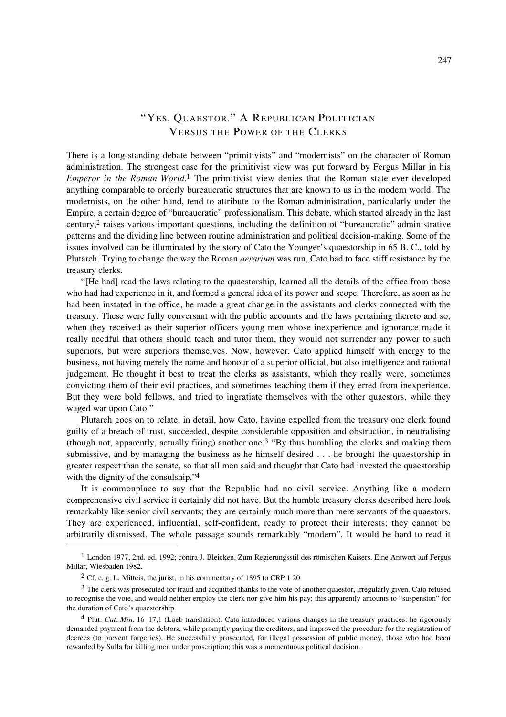## "YES, QUAESTOR." A REPUBLICAN POLITICIAN VERSUS THE POWER OF THE CLERKS

There is a long-standing debate between "primitivists" and "modernists" on the character of Roman administration. The strongest case for the primitivist view was put forward by Fergus Millar in his *Emperor in the Roman World*.1 The primitivist view denies that the Roman state ever developed anything comparable to orderly bureaucratic structures that are known to us in the modern world. The modernists, on the other hand, tend to attribute to the Roman administration, particularly under the Empire, a certain degree of "bureaucratic" professionalism. This debate, which started already in the last century,2 raises various important questions, including the definition of "bureaucratic" administrative patterns and the dividing line between routine administration and political decision-making. Some of the issues involved can be illuminated by the story of Cato the Younger's quaestorship in 65 B. C., told by Plutarch. Trying to change the way the Roman *aerarium* was run, Cato had to face stiff resistance by the treasury clerks.

"[He had] read the laws relating to the quaestorship, learned all the details of the office from those who had had experience in it, and formed a general idea of its power and scope. Therefore, as soon as he had been instated in the office, he made a great change in the assistants and clerks connected with the treasury. These were fully conversant with the public accounts and the laws pertaining thereto and so, when they received as their superior officers young men whose inexperience and ignorance made it really needful that others should teach and tutor them, they would not surrender any power to such superiors, but were superiors themselves. Now, however, Cato applied himself with energy to the business, not having merely the name and honour of a superior official, but also intelligence and rational judgement. He thought it best to treat the clerks as assistants, which they really were, sometimes convicting them of their evil practices, and sometimes teaching them if they erred from inexperience. But they were bold fellows, and tried to ingratiate themselves with the other quaestors, while they waged war upon Cato."

Plutarch goes on to relate, in detail, how Cato, having expelled from the treasury one clerk found guilty of a breach of trust, succeeded, despite considerable opposition and obstruction, in neutralising (though not, apparently, actually firing) another one.3 "By thus humbling the clerks and making them submissive, and by managing the business as he himself desired . . . he brought the quaestorship in greater respect than the senate, so that all men said and thought that Cato had invested the quaestorship with the dignity of the consulship."<sup>4</sup>

It is commonplace to say that the Republic had no civil service. Anything like a modern comprehensive civil service it certainly did not have. But the humble treasury clerks described here look remarkably like senior civil servants; they are certainly much more than mere servants of the quaestors. They are experienced, influential, self-confident, ready to protect their interests; they cannot be arbitrarily dismissed. The whole passage sounds remarkably "modern". It would be hard to read it

<sup>1</sup> London 1977, 2nd. ed. 1992; contra J. Bleicken, Zum Regierungsstil des römischen Kaisers. Eine Antwort auf Fergus Millar, Wiesbaden 1982.

 $2$  Cf. e. g. L. Mitteis, the jurist, in his commentary of 1895 to CRP 1 20.

<sup>&</sup>lt;sup>3</sup> The clerk was prosecuted for fraud and acquitted thanks to the vote of another quaestor, irregularly given. Cato refused to recognise the vote, and would neither employ the clerk nor give him his pay; this apparently amounts to "suspension" for the duration of Cato's quaestorship.

<sup>4</sup> Plut. *Cat. Min.* 16–17,1 (Loeb translation). Cato introduced various changes in the treasury practices: he rigorously demanded payment from the debtors, while promptly paying the creditors, and improved the procedure for the registration of decrees (to prevent forgeries). He successfully prosecuted, for illegal possession of public money, those who had been rewarded by Sulla for killing men under proscription; this was a momentuous political decision.